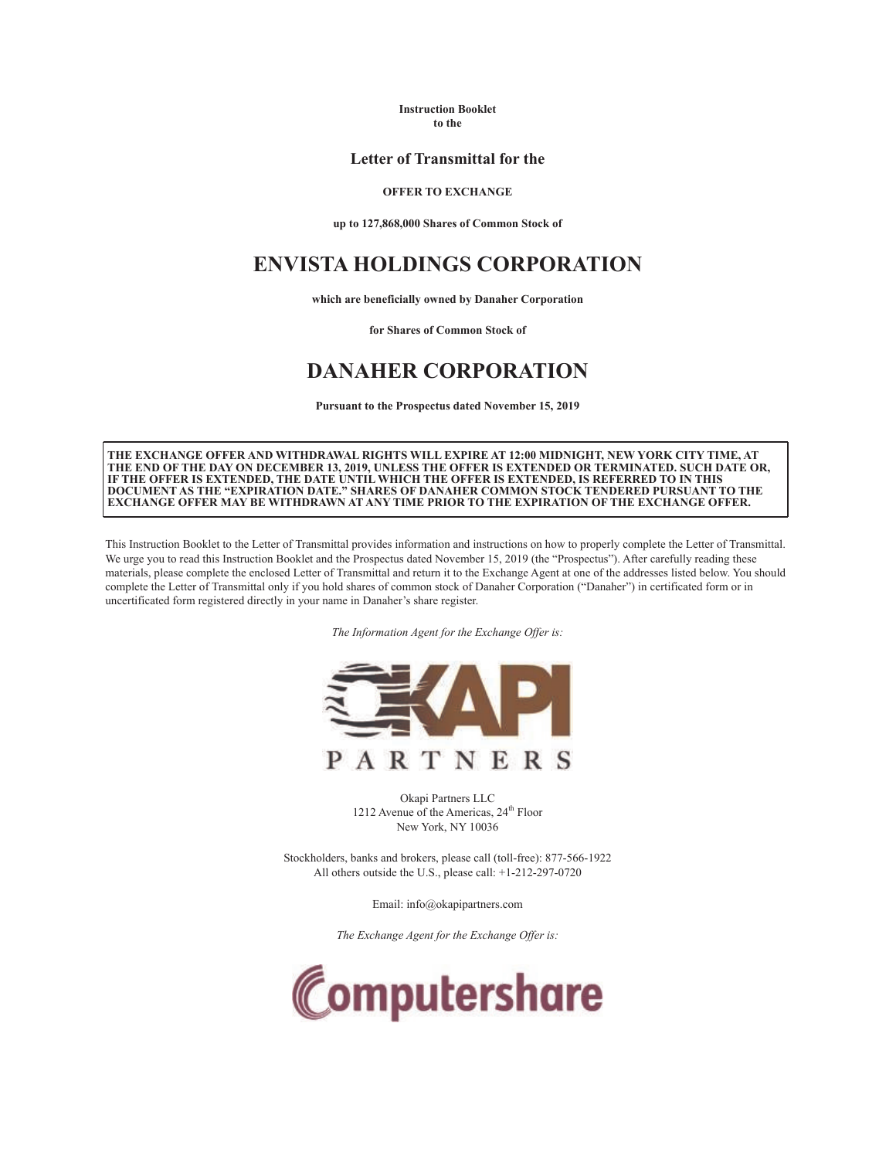**Instruction Booklet to the**

# **Letter of Transmittal for the**

### **OFFER TO EXCHANGE**

**up to 127,868,000 Shares of Common Stock of**

# **ENVISTA HOLDINGS CORPORATION**

**which are beneficially owned by Danaher Corporation** 

**for Shares of Common Stock of**

# **DANAHER CORPORATION**

**Pursuant to the Prospectus dated November 15, 2019**

**THE EXCHANGE OFFER AND WITHDRAWAL RIGHTS WILL EXPIRE AT 12:00 MIDNIGHT, NEW YORK CITY TIME, AT THE END OF THE DAY ON DECEMBER 13, 2019, UNLESS THE OFFER IS EXTENDED OR TERMINATED. SUCH DATE OR, IF THE OFFER IS EXTENDED, THE DATE UNTIL WHICH THE OFFER IS EXTENDED, IS REFERRED TO IN THIS DOCUMENT AS THE "EXPIRATION DATE." SHARES OF DANAHER COMMON STOCK TENDERED PURSUANT TO THE EXCHANGE OFFER MAY BE WITHDRAWN AT ANY TIME PRIOR TO THE EXPIRATION OF THE EXCHANGE OFFER.**

This Instruction Booklet to the Letter of Transmittal provides information and instructions on how to properly complete the Letter of Transmittal. We urge you to read this Instruction Booklet and the Prospectus dated November 15, 2019 (the "Prospectus"). After carefully reading these materials, please complete the enclosed Letter of Transmittal and return it to the Exchange Agent at one of the addresses listed below. You should complete the Letter of Transmittal only if you hold shares of common stock of Danaher Corporation ("Danaher") in certificated form or in uncertificated form registered directly in your name in Danaher's share register.

*The Information Agent for the Exchange Offer is:*



Okapi Partners LLC 1212 Avenue of the Americas, 24<sup>th</sup> Floor New York, NY 10036

Stockholders, banks and brokers, please call (toll-free): 877-566-1922 All others outside the U.S., please call: +1-212-297-0720

Email: info@okapipartners.com

*The Exchange Agent for the Exchange Offer is:*

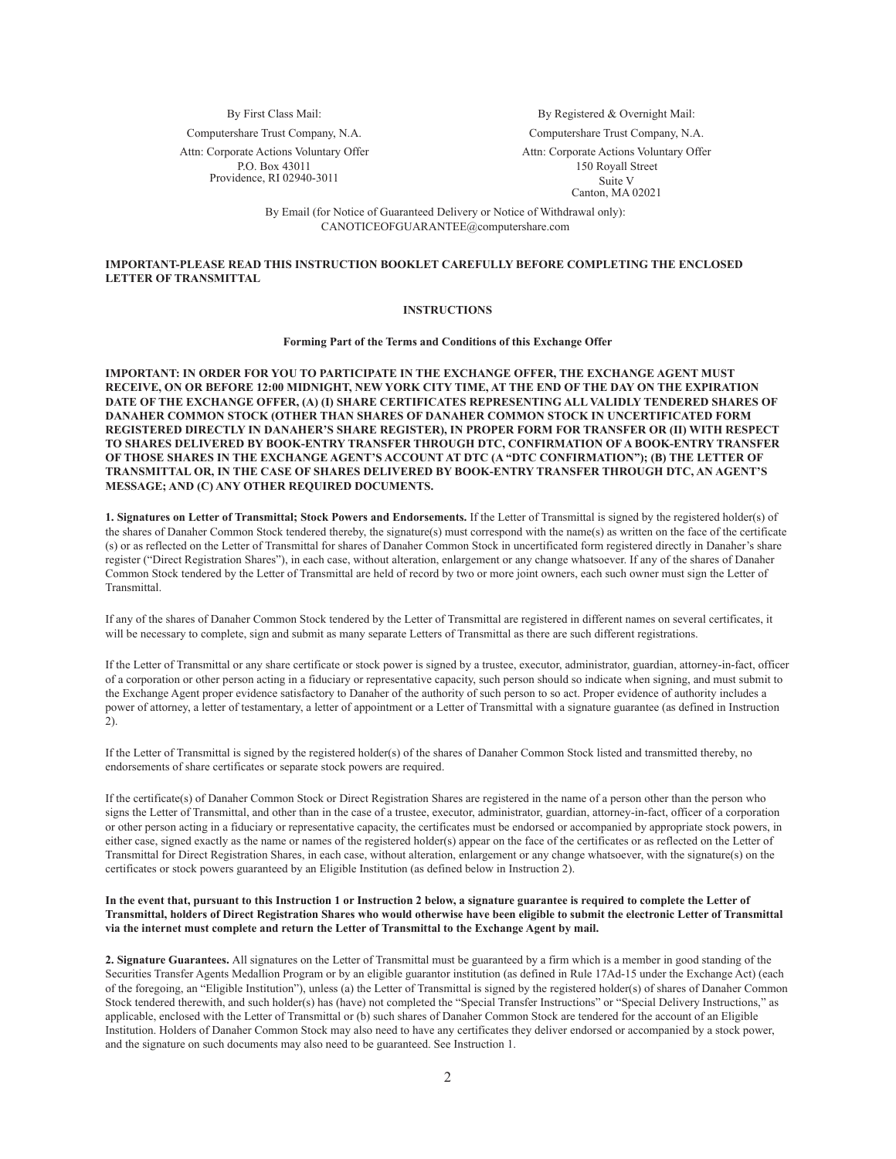Computershare Trust Company, N.A. Computershare Trust Company, N.A.

Attn: Corporate Actions Voluntary Offer P.O. Box 43011 Providence, RI 02940-3011

By First Class Mail: By Registered & Overnight Mail:

Attn: Corporate Actions Voluntary Offer 150 Royall Street Suite V

Canton, MA 02021

By Email (for Notice of Guaranteed Delivery or Notice of Withdrawal only): CANOTICEOFGUARANTEE@computershare.com

## **IMPORTANT-PLEASE READ THIS INSTRUCTION BOOKLET CAREFULLY BEFORE COMPLETING THE ENCLOSED LETTER OF TRANSMITTAL**

#### **INSTRUCTIONS**

**Forming Part of the Terms and Conditions of this Exchange Offer**

**IMPORTANT: IN ORDER FOR YOU TO PARTICIPATE IN THE EXCHANGE OFFER, THE EXCHANGE AGENT MUST RECEIVE, ON OR BEFORE 12:00 MIDNIGHT, NEW YORK CITY TIME, AT THE END OF THE DAY ON THE EXPIRATION DATE OF THE EXCHANGE OFFER, (A) (I) SHARE CERTIFICATES REPRESENTING ALL VALIDLY TENDERED SHARES OF DANAHER COMMON STOCK (OTHER THAN SHARES OF DANAHER COMMON STOCK IN UNCERTIFICATED FORM REGISTERED DIRECTLY IN DANAHER'S SHARE REGISTER), IN PROPER FORM FOR TRANSFER OR (II) WITH RESPECT TO SHARES DELIVERED BY BOOK-ENTRY TRANSFER THROUGH DTC, CONFIRMATION OF A BOOK-ENTRY TRANSFER OF THOSE SHARES IN THE EXCHANGE AGENT'S ACCOUNT AT DTC (A "DTC CONFIRMATION"); (B) THE LETTER OF TRANSMITTAL OR, IN THE CASE OF SHARES DELIVERED BY BOOK-ENTRY TRANSFER THROUGH DTC, AN AGENT'S MESSAGE; AND (C) ANY OTHER REQUIRED DOCUMENTS.**

**1. Signatures on Letter of Transmittal; Stock Powers and Endorsements.** If the Letter of Transmittal is signed by the registered holder(s) of the shares of Danaher Common Stock tendered thereby, the signature(s) must correspond with the name(s) as written on the face of the certificate (s) or as reflected on the Letter of Transmittal for shares of Danaher Common Stock in uncertificated form registered directly in Danaher's share register ("Direct Registration Shares"), in each case, without alteration, enlargement or any change whatsoever. If any of the shares of Danaher Common Stock tendered by the Letter of Transmittal are held of record by two or more joint owners, each such owner must sign the Letter of **Transmittal** 

If any of the shares of Danaher Common Stock tendered by the Letter of Transmittal are registered in different names on several certificates, it will be necessary to complete, sign and submit as many separate Letters of Transmittal as there are such different registrations.

If the Letter of Transmittal or any share certificate or stock power is signed by a trustee, executor, administrator, guardian, attorney-in-fact, officer of a corporation or other person acting in a fiduciary or representative capacity, such person should so indicate when signing, and must submit to the Exchange Agent proper evidence satisfactory to Danaher of the authority of such person to so act. Proper evidence of authority includes a power of attorney, a letter of testamentary, a letter of appointment or a Letter of Transmittal with a signature guarantee (as defined in Instruction 2).

If the Letter of Transmittal is signed by the registered holder(s) of the shares of Danaher Common Stock listed and transmitted thereby, no endorsements of share certificates or separate stock powers are required.

If the certificate(s) of Danaher Common Stock or Direct Registration Shares are registered in the name of a person other than the person who signs the Letter of Transmittal, and other than in the case of a trustee, executor, administrator, guardian, attorney-in-fact, officer of a corporation or other person acting in a fiduciary or representative capacity, the certificates must be endorsed or accompanied by appropriate stock powers, in either case, signed exactly as the name or names of the registered holder(s) appear on the face of the certificates or as reflected on the Letter of Transmittal for Direct Registration Shares, in each case, without alteration, enlargement or any change whatsoever, with the signature(s) on the certificates or stock powers guaranteed by an Eligible Institution (as defined below in Instruction 2).

#### **In the event that, pursuant to this Instruction 1 or Instruction 2 below, a signature guarantee is required to complete the Letter of Transmittal, holders of Direct Registration Shares who would otherwise have been eligible to submit the electronic Letter of Transmittal via the internet must complete and return the Letter of Transmittal to the Exchange Agent by mail.**

**2. Signature Guarantees.** All signatures on the Letter of Transmittal must be guaranteed by a firm which is a member in good standing of the Securities Transfer Agents Medallion Program or by an eligible guarantor institution (as defined in Rule 17Ad-15 under the Exchange Act) (each of the foregoing, an "Eligible Institution"), unless (a) the Letter of Transmittal is signed by the registered holder(s) of shares of Danaher Common Stock tendered therewith, and such holder(s) has (have) not completed the "Special Transfer Instructions" or "Special Delivery Instructions," as applicable, enclosed with the Letter of Transmittal or (b) such shares of Danaher Common Stock are tendered for the account of an Eligible Institution. Holders of Danaher Common Stock may also need to have any certificates they deliver endorsed or accompanied by a stock power, and the signature on such documents may also need to be guaranteed. See Instruction 1.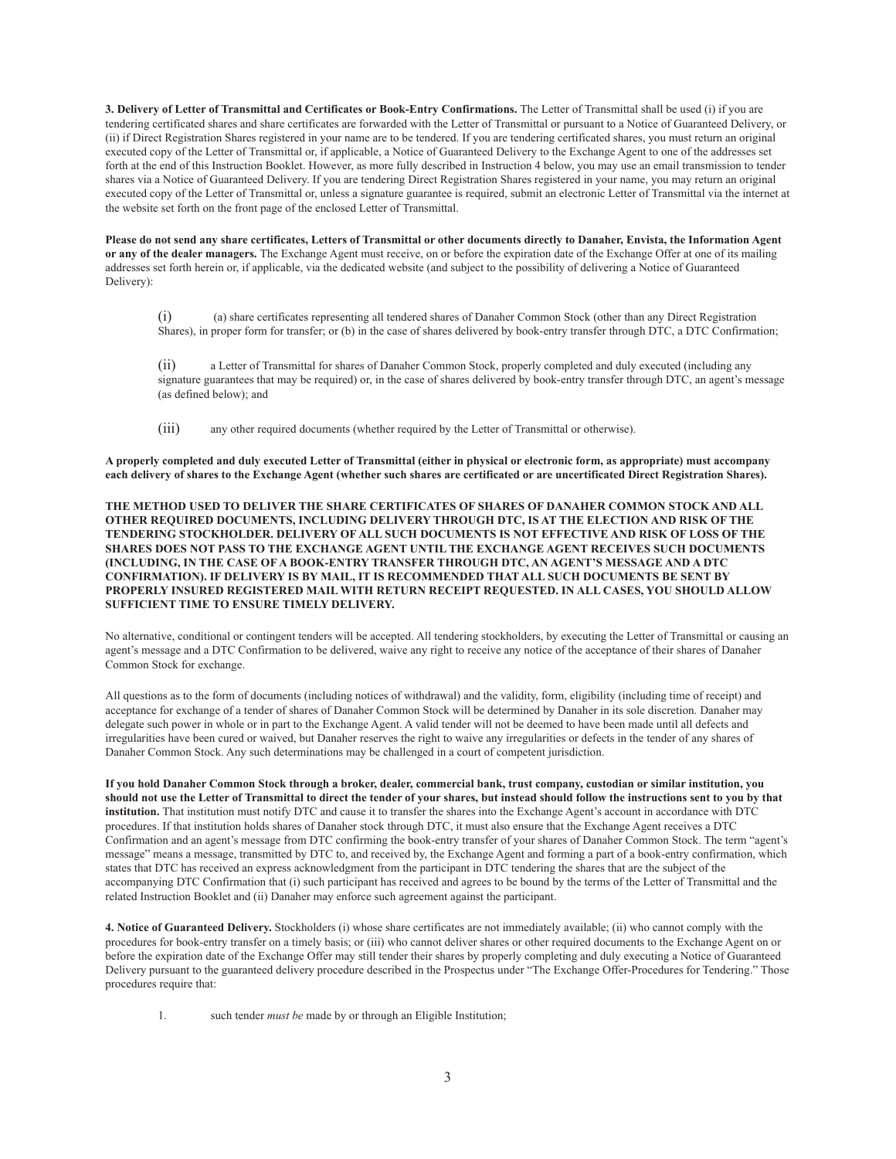**3. Delivery of Letter of Transmittal and Certificates or Book-Entry Confirmations.** The Letter of Transmittal shall be used (i) if you are tendering certificated shares and share certificates are forwarded with the Letter of Transmittal or pursuant to a Notice of Guaranteed Delivery, or (ii) if Direct Registration Shares registered in your name are to be tendered. If you are tendering certificated shares, you must return an original executed copy of the Letter of Transmittal or, if applicable, a Notice of Guaranteed Delivery to the Exchange Agent to one of the addresses set forth at the end of this Instruction Booklet. However, as more fully described in Instruction 4 below, you may use an email transmission to tender shares via a Notice of Guaranteed Delivery. If you are tendering Direct Registration Shares registered in your name, you may return an original executed copy of the Letter of Transmittal or, unless a signature guarantee is required, submit an electronic Letter of Transmittal via the internet at the website set forth on the front page of the enclosed Letter of Transmittal.

**Please do not send any share certificates, Letters of Transmittal or other documents directly to Danaher, Envista, the Information Agent or any of the dealer managers.** The Exchange Agent must receive, on or before the expiration date of the Exchange Offer at one of its mailing addresses set forth herein or, if applicable, via the dedicated website (and subject to the possibility of delivering a Notice of Guaranteed Delivery):

(i) (a) share certificates representing all tendered shares of Danaher Common Stock (other than any Direct Registration Shares), in proper form for transfer; or (b) in the case of shares delivered by book-entry transfer through DTC, a DTC Confirmation;

(ii) a Letter of Transmittal for shares of Danaher Common Stock, properly completed and duly executed (including any signature guarantees that may be required) or, in the case of shares delivered by book-entry transfer through DTC, an agent's message (as defined below); and

(iii) any other required documents (whether required by the Letter of Transmittal or otherwise).

**A properly completed and duly executed Letter of Transmittal (either in physical or electronic form, as appropriate) must accompany each delivery of shares to the Exchange Agent (whether such shares are certificated or are uncertificated Direct Registration Shares).**

**THE METHOD USED TO DELIVER THE SHARE CERTIFICATES OF SHARES OF DANAHER COMMON STOCK AND ALL OTHER REQUIRED DOCUMENTS, INCLUDING DELIVERY THROUGH DTC, IS AT THE ELECTION AND RISK OF THE TENDERING STOCKHOLDER. DELIVERY OF ALL SUCH DOCUMENTS IS NOT EFFECTIVE AND RISK OF LOSS OF THE SHARES DOES NOT PASS TO THE EXCHANGE AGENT UNTIL THE EXCHANGE AGENT RECEIVES SUCH DOCUMENTS (INCLUDING, IN THE CASE OF A BOOK-ENTRY TRANSFER THROUGH DTC, AN AGENT'S MESSAGE AND A DTC CONFIRMATION). IF DELIVERY IS BY MAIL, IT IS RECOMMENDED THAT ALL SUCH DOCUMENTS BE SENT BY PROPERLY INSURED REGISTERED MAIL WITH RETURN RECEIPT REQUESTED. IN ALL CASES, YOU SHOULD ALLOW SUFFICIENT TIME TO ENSURE TIMELY DELIVERY.**

No alternative, conditional or contingent tenders will be accepted. All tendering stockholders, by executing the Letter of Transmittal or causing an agent's message and a DTC Confirmation to be delivered, waive any right to receive any notice of the acceptance of their shares of Danaher Common Stock for exchange.

All questions as to the form of documents (including notices of withdrawal) and the validity, form, eligibility (including time of receipt) and acceptance for exchange of a tender of shares of Danaher Common Stock will be determined by Danaher in its sole discretion. Danaher may delegate such power in whole or in part to the Exchange Agent. A valid tender will not be deemed to have been made until all defects and irregularities have been cured or waived, but Danaher reserves the right to waive any irregularities or defects in the tender of any shares of Danaher Common Stock. Any such determinations may be challenged in a court of competent jurisdiction.

**If you hold Danaher Common Stock through a broker, dealer, commercial bank, trust company, custodian or similar institution, you should not use the Letter of Transmittal to direct the tender of your shares, but instead should follow the instructions sent to you by that institution.** That institution must notify DTC and cause it to transfer the shares into the Exchange Agent's account in accordance with DTC procedures. If that institution holds shares of Danaher stock through DTC, it must also ensure that the Exchange Agent receives a DTC Confirmation and an agent's message from DTC confirming the book-entry transfer of your shares of Danaher Common Stock. The term "agent's message" means a message, transmitted by DTC to, and received by, the Exchange Agent and forming a part of a book-entry confirmation, which states that DTC has received an express acknowledgment from the participant in DTC tendering the shares that are the subject of the accompanying DTC Confirmation that (i) such participant has received and agrees to be bound by the terms of the Letter of Transmittal and the related Instruction Booklet and (ii) Danaher may enforce such agreement against the participant.

**4. Notice of Guaranteed Delivery.** Stockholders (i) whose share certificates are not immediately available; (ii) who cannot comply with the procedures for book-entry transfer on a timely basis; or (iii) who cannot deliver shares or other required documents to the Exchange Agent on or before the expiration date of the Exchange Offer may still tender their shares by properly completing and duly executing a Notice of Guaranteed Delivery pursuant to the guaranteed delivery procedure described in the Prospectus under "The Exchange Offer-Procedures for Tendering." Those procedures require that:

1. such tender *must be* made by or through an Eligible Institution;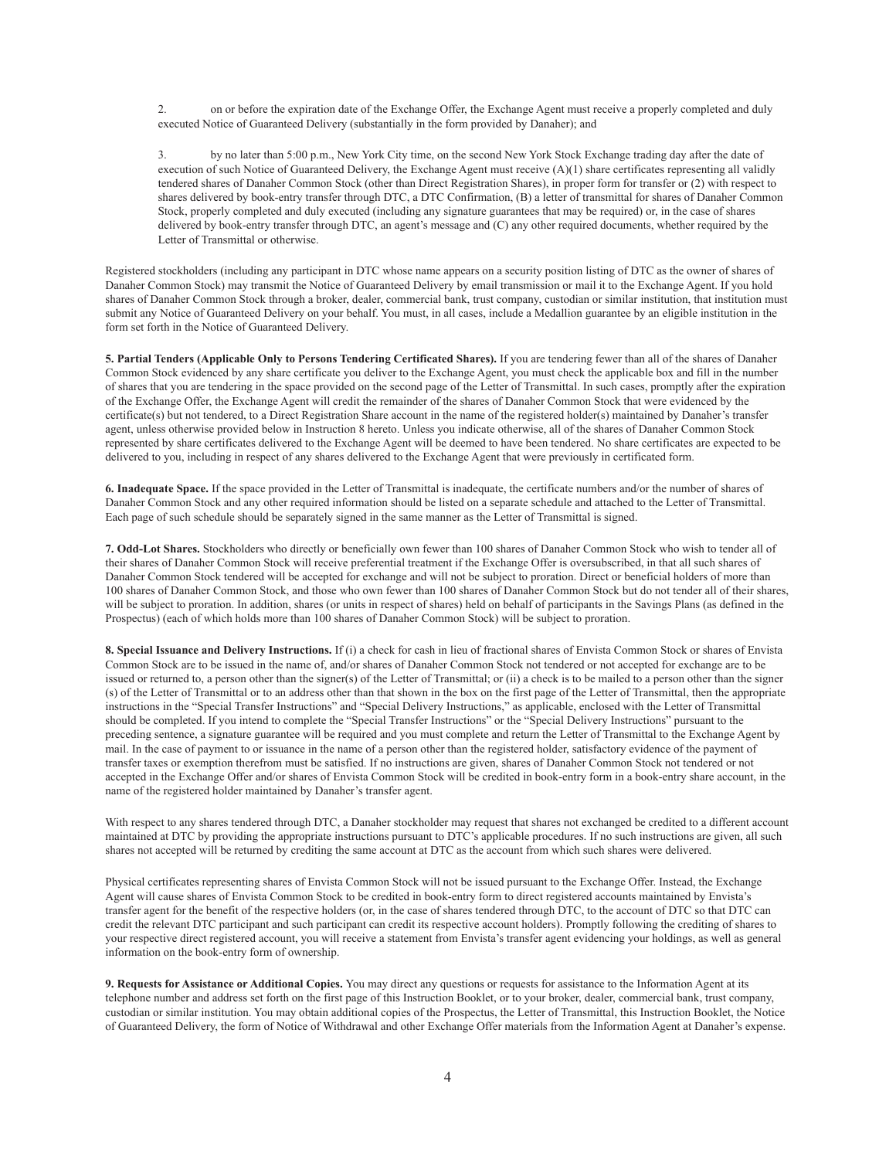2. on or before the expiration date of the Exchange Offer, the Exchange Agent must receive a properly completed and duly executed Notice of Guaranteed Delivery (substantially in the form provided by Danaher); and

3. by no later than 5:00 p.m., New York City time, on the second New York Stock Exchange trading day after the date of execution of such Notice of Guaranteed Delivery, the Exchange Agent must receive (A)(1) share certificates representing all validly tendered shares of Danaher Common Stock (other than Direct Registration Shares), in proper form for transfer or (2) with respect to shares delivered by book-entry transfer through DTC, a DTC Confirmation, (B) a letter of transmittal for shares of Danaher Common Stock, properly completed and duly executed (including any signature guarantees that may be required) or, in the case of shares delivered by book-entry transfer through DTC, an agent's message and (C) any other required documents, whether required by the Letter of Transmittal or otherwise.

Registered stockholders (including any participant in DTC whose name appears on a security position listing of DTC as the owner of shares of Danaher Common Stock) may transmit the Notice of Guaranteed Delivery by email transmission or mail it to the Exchange Agent. If you hold shares of Danaher Common Stock through a broker, dealer, commercial bank, trust company, custodian or similar institution, that institution must submit any Notice of Guaranteed Delivery on your behalf. You must, in all cases, include a Medallion guarantee by an eligible institution in the form set forth in the Notice of Guaranteed Delivery.

**5. Partial Tenders (Applicable Only to Persons Tendering Certificated Shares).** If you are tendering fewer than all of the shares of Danaher Common Stock evidenced by any share certificate you deliver to the Exchange Agent, you must check the applicable box and fill in the number of shares that you are tendering in the space provided on the second page of the Letter of Transmittal. In such cases, promptly after the expiration of the Exchange Offer, the Exchange Agent will credit the remainder of the shares of Danaher Common Stock that were evidenced by the certificate(s) but not tendered, to a Direct Registration Share account in the name of the registered holder(s) maintained by Danaher's transfer agent, unless otherwise provided below in Instruction 8 hereto. Unless you indicate otherwise, all of the shares of Danaher Common Stock represented by share certificates delivered to the Exchange Agent will be deemed to have been tendered. No share certificates are expected to be delivered to you, including in respect of any shares delivered to the Exchange Agent that were previously in certificated form.

**6. Inadequate Space.** If the space provided in the Letter of Transmittal is inadequate, the certificate numbers and/or the number of shares of Danaher Common Stock and any other required information should be listed on a separate schedule and attached to the Letter of Transmittal. Each page of such schedule should be separately signed in the same manner as the Letter of Transmittal is signed.

**7. Odd-Lot Shares.** Stockholders who directly or beneficially own fewer than 100 shares of Danaher Common Stock who wish to tender all of their shares of Danaher Common Stock will receive preferential treatment if the Exchange Offer is oversubscribed, in that all such shares of Danaher Common Stock tendered will be accepted for exchange and will not be subject to proration. Direct or beneficial holders of more than 100 shares of Danaher Common Stock, and those who own fewer than 100 shares of Danaher Common Stock but do not tender all of their shares, will be subject to proration. In addition, shares (or units in respect of shares) held on behalf of participants in the Savings Plans (as defined in the Prospectus) (each of which holds more than 100 shares of Danaher Common Stock) will be subject to proration.

**8. Special Issuance and Delivery Instructions.** If (i) a check for cash in lieu of fractional shares of Envista Common Stock or shares of Envista Common Stock are to be issued in the name of, and/or shares of Danaher Common Stock not tendered or not accepted for exchange are to be issued or returned to, a person other than the signer(s) of the Letter of Transmittal; or (ii) a check is to be mailed to a person other than the signer (s) of the Letter of Transmittal or to an address other than that shown in the box on the first page of the Letter of Transmittal, then the appropriate instructions in the "Special Transfer Instructions" and "Special Delivery Instructions," as applicable, enclosed with the Letter of Transmittal should be completed. If you intend to complete the "Special Transfer Instructions" or the "Special Delivery Instructions" pursuant to the preceding sentence, a signature guarantee will be required and you must complete and return the Letter of Transmittal to the Exchange Agent by mail. In the case of payment to or issuance in the name of a person other than the registered holder, satisfactory evidence of the payment of transfer taxes or exemption therefrom must be satisfied. If no instructions are given, shares of Danaher Common Stock not tendered or not accepted in the Exchange Offer and/or shares of Envista Common Stock will be credited in book-entry form in a book-entry share account, in the name of the registered holder maintained by Danaher's transfer agent.

With respect to any shares tendered through DTC, a Danaher stockholder may request that shares not exchanged be credited to a different account maintained at DTC by providing the appropriate instructions pursuant to DTC's applicable procedures. If no such instructions are given, all such shares not accepted will be returned by crediting the same account at DTC as the account from which such shares were delivered.

Physical certificates representing shares of Envista Common Stock will not be issued pursuant to the Exchange Offer. Instead, the Exchange Agent will cause shares of Envista Common Stock to be credited in book-entry form to direct registered accounts maintained by Envista's transfer agent for the benefit of the respective holders (or, in the case of shares tendered through DTC, to the account of DTC so that DTC can credit the relevant DTC participant and such participant can credit its respective account holders). Promptly following the crediting of shares to your respective direct registered account, you will receive a statement from Envista's transfer agent evidencing your holdings, as well as general information on the book-entry form of ownership.

**9. Requests for Assistance or Additional Copies.** You may direct any questions or requests for assistance to the Information Agent at its telephone number and address set forth on the first page of this Instruction Booklet, or to your broker, dealer, commercial bank, trust company, custodian or similar institution. You may obtain additional copies of the Prospectus, the Letter of Transmittal, this Instruction Booklet, the Notice of Guaranteed Delivery, the form of Notice of Withdrawal and other Exchange Offer materials from the Information Agent at Danaher's expense.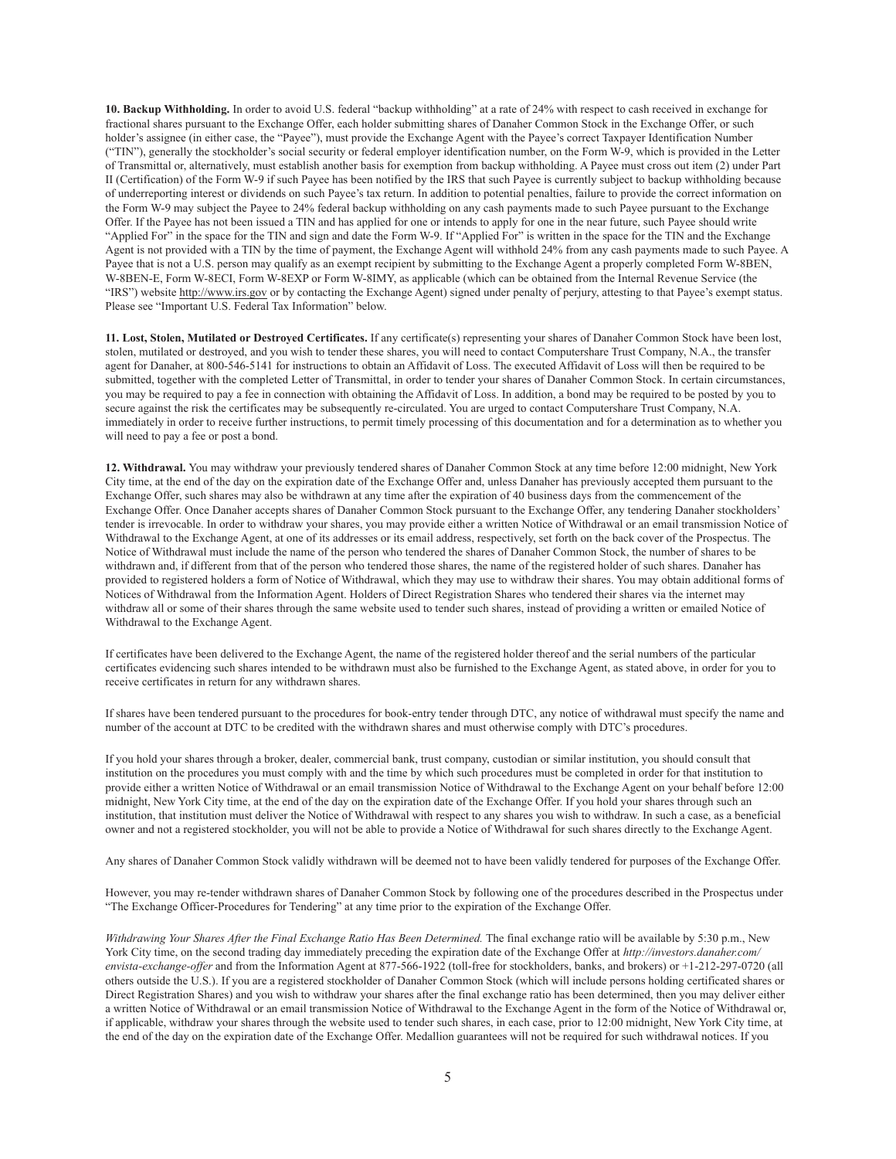**10. Backup Withholding.** In order to avoid U.S. federal "backup withholding" at a rate of 24% with respect to cash received in exchange for fractional shares pursuant to the Exchange Offer, each holder submitting shares of Danaher Common Stock in the Exchange Offer, or such holder's assignee (in either case, the "Payee"), must provide the Exchange Agent with the Payee's correct Taxpayer Identification Number ("TIN"), generally the stockholder's social security or federal employer identification number, on the Form W-9, which is provided in the Letter of Transmittal or, alternatively, must establish another basis for exemption from backup withholding. A Payee must cross out item (2) under Part II (Certification) of the Form W-9 if such Payee has been notified by the IRS that such Payee is currently subject to backup withholding because of underreporting interest or dividends on such Payee's tax return. In addition to potential penalties, failure to provide the correct information on the Form W-9 may subject the Payee to 24% federal backup withholding on any cash payments made to such Payee pursuant to the Exchange Offer. If the Payee has not been issued a TIN and has applied for one or intends to apply for one in the near future, such Payee should write "Applied For" in the space for the TIN and sign and date the Form W-9. If "Applied For" is written in the space for the TIN and the Exchange Agent is not provided with a TIN by the time of payment, the Exchange Agent will withhold 24% from any cash payments made to such Payee. A Payee that is not a U.S. person may qualify as an exempt recipient by submitting to the Exchange Agent a properly completed Form W-8BEN, W-8BEN-E, Form W-8ECI, Form W-8EXP or Form W-8IMY, as applicable (which can be obtained from the Internal Revenue Service (the "IRS") website http://www.irs.gov or by contacting the Exchange Agent) signed under penalty of perjury, attesting to that Payee's exempt status. Please see "Important U.S. Federal Tax Information" below.

**11. Lost, Stolen, Mutilated or Destroyed Certificates.** If any certificate(s) representing your shares of Danaher Common Stock have been lost, stolen, mutilated or destroyed, and you wish to tender these shares, you will need to contact Computershare Trust Company, N.A., the transfer agent for Danaher, at 800-546-5141 for instructions to obtain an Affidavit of Loss. The executed Affidavit of Loss will then be required to be submitted, together with the completed Letter of Transmittal, in order to tender your shares of Danaher Common Stock. In certain circumstances, you may be required to pay a fee in connection with obtaining the Affidavit of Loss. In addition, a bond may be required to be posted by you to secure against the risk the certificates may be subsequently re-circulated. You are urged to contact Computershare Trust Company, N.A. immediately in order to receive further instructions, to permit timely processing of this documentation and for a determination as to whether you will need to pay a fee or post a bond.

**12. Withdrawal.** You may withdraw your previously tendered shares of Danaher Common Stock at any time before 12:00 midnight, New York City time, at the end of the day on the expiration date of the Exchange Offer and, unless Danaher has previously accepted them pursuant to the Exchange Offer, such shares may also be withdrawn at any time after the expiration of 40 business days from the commencement of the Exchange Offer. Once Danaher accepts shares of Danaher Common Stock pursuant to the Exchange Offer, any tendering Danaher stockholders' tender is irrevocable. In order to withdraw your shares, you may provide either a written Notice of Withdrawal or an email transmission Notice of Withdrawal to the Exchange Agent, at one of its addresses or its email address, respectively, set forth on the back cover of the Prospectus. The Notice of Withdrawal must include the name of the person who tendered the shares of Danaher Common Stock, the number of shares to be withdrawn and, if different from that of the person who tendered those shares, the name of the registered holder of such shares. Danaher has provided to registered holders a form of Notice of Withdrawal, which they may use to withdraw their shares. You may obtain additional forms of Notices of Withdrawal from the Information Agent. Holders of Direct Registration Shares who tendered their shares via the internet may withdraw all or some of their shares through the same website used to tender such shares, instead of providing a written or emailed Notice of Withdrawal to the Exchange Agent.

If certificates have been delivered to the Exchange Agent, the name of the registered holder thereof and the serial numbers of the particular certificates evidencing such shares intended to be withdrawn must also be furnished to the Exchange Agent, as stated above, in order for you to receive certificates in return for any withdrawn shares.

If shares have been tendered pursuant to the procedures for book-entry tender through DTC, any notice of withdrawal must specify the name and number of the account at DTC to be credited with the withdrawn shares and must otherwise comply with DTC's procedures.

If you hold your shares through a broker, dealer, commercial bank, trust company, custodian or similar institution, you should consult that institution on the procedures you must comply with and the time by which such procedures must be completed in order for that institution to provide either a written Notice of Withdrawal or an email transmission Notice of Withdrawal to the Exchange Agent on your behalf before 12:00 midnight, New York City time, at the end of the day on the expiration date of the Exchange Offer. If you hold your shares through such an institution, that institution must deliver the Notice of Withdrawal with respect to any shares you wish to withdraw. In such a case, as a beneficial owner and not a registered stockholder, you will not be able to provide a Notice of Withdrawal for such shares directly to the Exchange Agent.

Any shares of Danaher Common Stock validly withdrawn will be deemed not to have been validly tendered for purposes of the Exchange Offer.

However, you may re-tender withdrawn shares of Danaher Common Stock by following one of the procedures described in the Prospectus under "The Exchange Officer-Procedures for Tendering" at any time prior to the expiration of the Exchange Offer.

*Withdrawing Your Shares After the Final Exchange Ratio Has Been Determined.* The final exchange ratio will be available by 5:30 p.m., New York City time, on the second trading day immediately preceding the expiration date of the Exchange Offer at *http://investors.danaher.com/ envista-exchange-offer* and from the Information Agent at 877-566-1922 (toll-free for stockholders, banks, and brokers) or +1-212-297-0720 (all others outside the U.S.). If you are a registered stockholder of Danaher Common Stock (which will include persons holding certificated shares or Direct Registration Shares) and you wish to withdraw your shares after the final exchange ratio has been determined, then you may deliver either a written Notice of Withdrawal or an email transmission Notice of Withdrawal to the Exchange Agent in the form of the Notice of Withdrawal or, if applicable, withdraw your shares through the website used to tender such shares, in each case, prior to 12:00 midnight, New York City time, at the end of the day on the expiration date of the Exchange Offer. Medallion guarantees will not be required for such withdrawal notices. If you